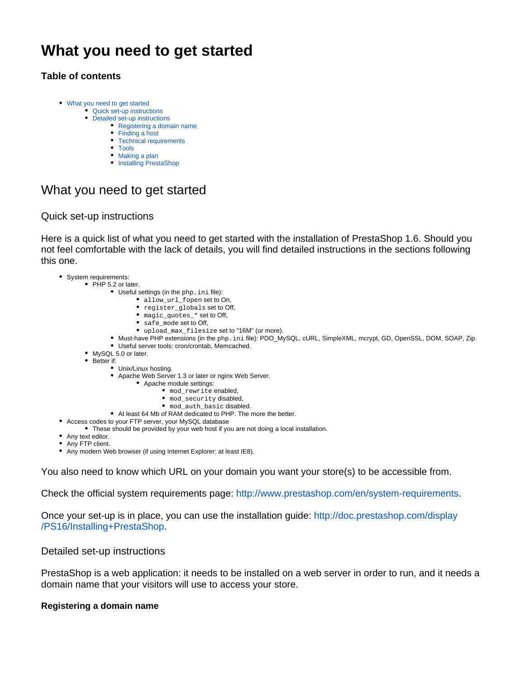# **What you need to get started**

# **Table of contents**

- [What you need to get started](#page-0-0)
	- [Quick set-up instructions](#page-0-1)
	- [Detailed set-up instructions](#page-0-2)
		- [Registering a domain name](#page-0-3)
		- [Finding a host](#page-1-0)
		- [Technical requirements](#page-2-0) • [Tools](#page-2-1)
		-
		- [Making a plan](#page-3-0) • [Installing PrestaShop](#page-4-0)

# <span id="page-0-0"></span>What you need to get started

## <span id="page-0-1"></span>Quick set-up instructions

Here is a quick list of what you need to get started with the installation of PrestaShop 1.6. Should you not feel comfortable with the lack of details, you will find detailed instructions in the sections following this one.

- System requirements:
	- $\bullet$  PHP 5.2 or later.
		- Useful settings (in the php.ini file):
			- allow\_url\_fopen set to On,
			- register\_globals set to Off,
			- magic\_quotes\_\* set to Off,
			- safe\_mode set to Off,
			- upload\_max\_filesize set to "16M" (or more).
		- Must-have PHP extensions (in the php.ini file): PDO\_MySQL, cURL, SimpleXML, mcrypt, GD, OpenSSL, DOM, SOAP, Zip.
		- Useful server tools: cron/crontab, Memcached.
		- MySQL 5.0 or later.
		- Better if:
			- Unix/Linux hosting.
			- Apache Web Server 1.3 or later or nginx Web Server.
				- Apache module settings:
					- mod\_rewrite enabled,
					- mod security disabled,
					- mod\_auth\_basic disabled.
			- At least 64 Mb of RAM dedicated to PHP. The more the better.
- Access codes to your FTP server, your MySQL database
	- These should be provided by your web host if you are not doing a local installation.
- Any text editor.
- Any FTP client.
- Any modern Web browser (if using Internet Explorer: at least IE8).

You also need to know which URL on your domain you want your store(s) to be accessible from.

Check the official system requirements page: <http://www.prestashop.com/en/system-requirements>.

Once your set-up is in place, you can use the installation guide: [http://doc.prestashop.com/display](http://doc.prestashop.com/display/PS16/Installing+PrestaShop) [/PS16/Installing+PrestaShop.](http://doc.prestashop.com/display/PS16/Installing+PrestaShop)

### <span id="page-0-2"></span>Detailed set-up instructions

PrestaShop is a web application: it needs to be installed on a web server in order to run, and it needs a domain name that your visitors will use to access your store.

#### <span id="page-0-3"></span>**Registering a domain name**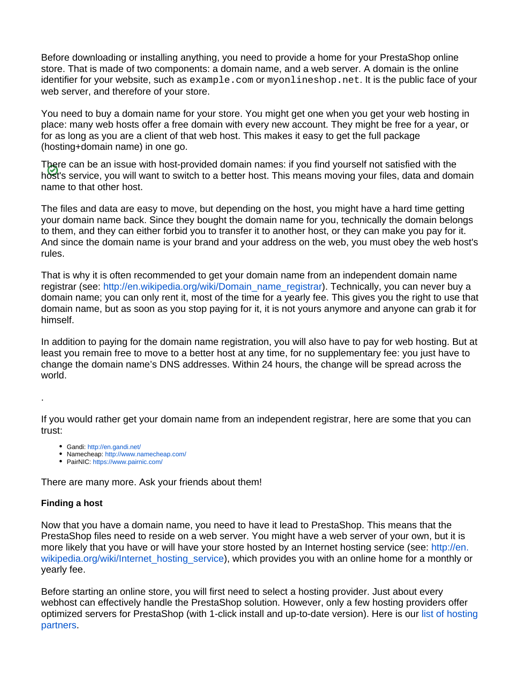Before downloading or installing anything, you need to provide a home for your PrestaShop online store. That is made of two components: a domain name, and a web server. A domain is the online identifier for your website, such as example.com or myonlineshop.net. It is the public face of your web server, and therefore of your store.

You need to buy a domain name for your store. You might get one when you get your web hosting in place: many web hosts offer a free domain with every new account. They might be free for a year, or for as long as you are a client of that web host. This makes it easy to get the full package (hosting+domain name) in one go.

There can be an issue with host-provided domain names: if you find yourself not satisfied with the host's service, you will want to switch to a better host. This means moving your files, data and domain name to that other host.

The files and data are easy to move, but depending on the host, you might have a hard time getting your domain name back. Since they bought the domain name for you, technically the domain belongs to them, and they can either forbid you to transfer it to another host, or they can make you pay for it. And since the domain name is your brand and your address on the web, you must obey the web host's rules.

That is why it is often recommended to get your domain name from an independent domain name registrar (see: [http://en.wikipedia.org/wiki/Domain\\_name\\_registrar\)](http://en.wikipedia.org/wiki/Domain_name_registrar). Technically, you can never buy a domain name; you can only rent it, most of the time for a yearly fee. This gives you the right to use that domain name, but as soon as you stop paying for it, it is not yours anymore and anyone can grab it for himself.

In addition to paying for the domain name registration, you will also have to pay for web hosting. But at least you remain free to move to a better host at any time, for no supplementary fee: you just have to change the domain name's DNS addresses. Within 24 hours, the change will be spread across the world.

If you would rather get your domain name from an independent registrar, here are some that you can trust:

- Gandi:<http://en.gandi.net/>
- Namecheap: <http://www.namecheap.com/>
- PairNIC:<https://www.pairnic.com/>

There are many more. Ask your friends about them!

#### <span id="page-1-0"></span>**Finding a host**

.

Now that you have a domain name, you need to have it lead to PrestaShop. This means that the PrestaShop files need to reside on a web server. You might have a web server of your own, but it is more likely that you have or will have your store hosted by an Internet hosting service (see: [http://en.](http://en.wikipedia.org/wiki/Internet_hosting_service) [wikipedia.org/wiki/Internet\\_hosting\\_service](http://en.wikipedia.org/wiki/Internet_hosting_service)), which provides you with an online home for a monthly or yearly fee.

Before starting an online store, you will first need to select a hosting provider. Just about every webhost can effectively handle the PrestaShop solution. However, only a few hosting providers offer optimized servers for PrestaShop (with 1-click install and up-to-date version). Here is our [list of hosting](https://www.prestashop.com/en/ecommerce-hosting)  [partners](https://www.prestashop.com/en/ecommerce-hosting).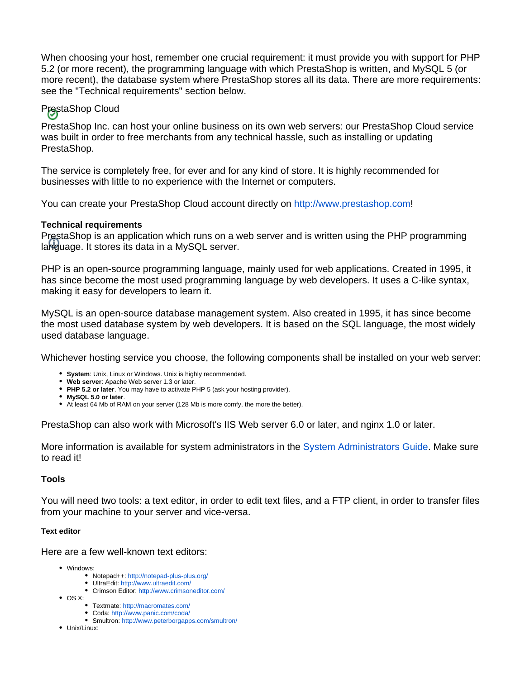When choosing your host, remember one crucial requirement: it must provide you with support for PHP 5.2 (or more recent), the programming language with which PrestaShop is written, and MySQL 5 (or more recent), the database system where PrestaShop stores all its data. There are more requirements: see the "Technical requirements" section below.

# PrestaShop Cloud

PrestaShop Inc. can host your online business on its own web servers: our PrestaShop Cloud service was built in order to free merchants from any technical hassle, such as installing or updating PrestaShop.

The service is completely free, for ever and for any kind of store. It is highly recommended for businesses with little to no experience with the Internet or computers.

You can create your PrestaShop Cloud account directly on [http://www.prestashop.com!](http://www.prestashop.com)

#### <span id="page-2-0"></span>**Technical requirements**

PrestaShop is an application which runs on a web server and is written using the PHP programming language. It stores its data in a MySQL server.

PHP is an open-source programming language, mainly used for web applications. Created in 1995, it has since become the most used programming language by web developers. It uses a C-like syntax, making it easy for developers to learn it.

MySQL is an open-source database management system. Also created in 1995, it has since become the most used database system by web developers. It is based on the SQL language, the most widely used database language.

Whichever hosting service you choose, the following components shall be installed on your web server:

- **System**: Unix, Linux or Windows. Unix is highly recommended.
- **Web server**: Apache Web server 1.3 or later.
- **PHP 5.2 or later**. You may have to activate PHP 5 (ask your hosting provider).
- **MySQL 5.0 or later**.
- At least 64 Mb of RAM on your server (128 Mb is more comfy, the more the better).

PrestaShop can also work with Microsoft's IIS Web server 6.0 or later, and nginx 1.0 or later.

More information is available for system administrators in the [System Administrators Guide](https://doc.prestashop.com/display/PS15/System+Administrator+Guide). Make sure to read it!

#### <span id="page-2-1"></span>**Tools**

You will need two tools: a text editor, in order to edit text files, and a FTP client, in order to transfer files from your machine to your server and vice-versa.

#### **Text editor**

Here are a few well-known text editors:

- Windows:
	- Notepad++:<http://notepad-plus-plus.org/>
	- UltraEdit: <http://www.ultraedit.com/>
	- Crimson Editor: <http://www.crimsoneditor.com/>
- $\bullet$  OS X:
	- Textmate:<http://macromates.com/>
	- Coda:<http://www.panic.com/coda/> Smultron:<http://www.peterborgapps.com/smultron/>
- Unix/Linux: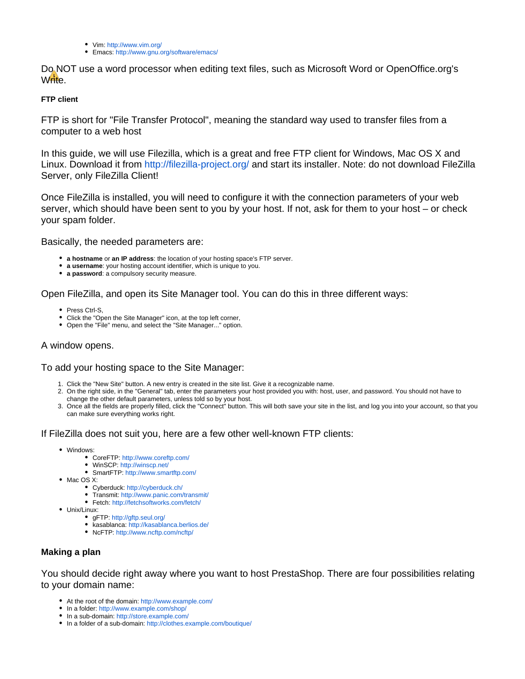- Vim:<http://www.vim.org/>
- Emacs:<http://www.gnu.org/software/emacs/>

Do NOT use a word processor when editing text files, such as Microsoft Word or OpenOffice.org's Write.

#### **FTP client**

FTP is short for "File Transfer Protocol", meaning the standard way used to transfer files from a computer to a web host

In this guide, we will use Filezilla, which is a great and free FTP client for Windows, Mac OS X and Linux. Download it from <http://filezilla-project.org/>and start its installer. Note: do not download FileZilla Server, only FileZilla Client!

Once FileZilla is installed, you will need to configure it with the connection parameters of your web server, which should have been sent to you by your host. If not, ask for them to your host – or check your spam folder.

Basically, the needed parameters are:

- **a hostname** or **an IP address**: the location of your hosting space's FTP server.
- **a username**: your hosting account identifier, which is unique to you.
- **a password**: a compulsory security measure.

Open FileZilla, and open its Site Manager tool. You can do this in three different ways:

- Press Ctrl-S,
- Click the "Open the Site Manager" icon, at the top left corner,
- Open the "File" menu, and select the "Site Manager..." option.

### A window opens.

#### To add your hosting space to the Site Manager:

- 1. Click the "New Site" button. A new entry is created in the site list. Give it a recognizable name.
- 2. On the right side, in the "General" tab, enter the parameters your host provided you with: host, user, and password. You should not have to change the other default parameters, unless told so by your host.
- 3. Once all the fields are properly filled, click the "Connect" button. This will both save your site in the list, and log you into your account, so that you can make sure everything works right.

#### If FileZilla does not suit you, here are a few other well-known FTP clients:

- Windows:
	- CoreFTP: <http://www.coreftp.com/>
	- WinSCP: <http://winscp.net/>
	- SmartFTP:<http://www.smartftp.com/>
- Mac OS X:
	- Cyberduck:<http://cyberduck.ch/>
	- Transmit:<http://www.panic.com/transmit/>
	- Fetch: <http://fetchsoftworks.com/fetch/>
- Unix/Linux:
	- gFTP: <http://gftp.seul.org/>
	- kasablanca:<http://kasablanca.berlios.de/>
	- NcFTP: <http://www.ncftp.com/ncftp/>

#### <span id="page-3-0"></span>**Making a plan**

You should decide right away where you want to host PrestaShop. There are four possibilities relating to your domain name:

- At the root of the domain:<http://www.example.com/>
- In a folder: <http://www.example.com/shop/>
- In a sub-domain: <http://store.example.com/>
- In a folder of a sub-domain:<http://clothes.example.com/boutique/>